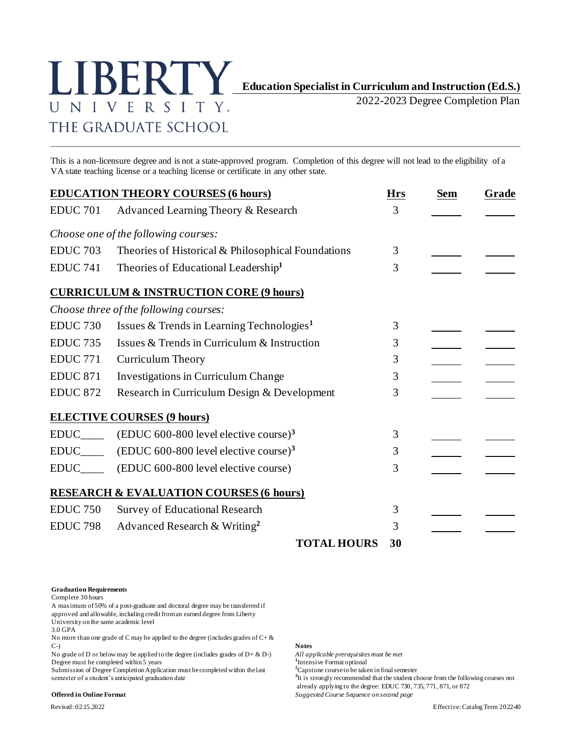

2022-2023 Degree Completion Plan

This is a non-licensure degree and is not a state-approved program. Completion of this degree will not lead to the eligibility of a VA state teaching license or a teaching license or certificate in any other state.

|                        | <b>EDUCATION THEORY COURSES (6 hours)</b>             | <b>Hrs</b> | <b>Sem</b> | Grade |
|------------------------|-------------------------------------------------------|------------|------------|-------|
| <b>EDUC 701</b>        | Advanced Learning Theory & Research                   | 3          |            |       |
|                        | Choose one of the following courses:                  |            |            |       |
| <b>EDUC 703</b>        | Theories of Historical & Philosophical Foundations    | 3          |            |       |
| <b>EDUC 741</b>        | Theories of Educational Leadership <sup>1</sup>       | 3          |            |       |
|                        | <b>CURRICULUM &amp; INSTRUCTION CORE (9 hours)</b>    |            |            |       |
|                        | Choose three of the following courses:                |            |            |       |
| EDUC <sub>730</sub>    | Issues & Trends in Learning Technologies <sup>1</sup> | 3          |            |       |
| <b>EDUC 735</b>        | Issues & Trends in Curriculum & Instruction           | 3          |            |       |
| <b>EDUC 771</b>        | <b>Curriculum Theory</b>                              | 3          |            |       |
| <b>EDUC 871</b>        | Investigations in Curriculum Change                   | 3          |            |       |
| <b>EDUC 872</b>        | Research in Curriculum Design & Development           | 3          |            |       |
|                        | <b>ELECTIVE COURSES (9 hours)</b>                     |            |            |       |
| $EDUC$ <sub>____</sub> | $(EDUC 600-800$ level elective course) <sup>3</sup>   | 3          |            |       |
| <b>EDUC</b>            | $(EDUC 600-800$ level elective course) <sup>3</sup>   | 3          |            |       |
| EDUC____               | (EDUC 600-800 level elective course)                  | 3          |            |       |
|                        | <b>RESEARCH &amp; EVALUATION COURSES (6 hours)</b>    |            |            |       |
| <b>EDUC 750</b>        | Survey of Educational Research                        | 3          |            |       |
| <b>EDUC 798</b>        | Advanced Research & Writing <sup>2</sup>              | 3          |            |       |
|                        | <b>TOTAL HOURS</b>                                    | 30         |            |       |

## **Graduation Requirements**

Complete 30 hours

A maximum of 50% of a post-graduate and doctoral degree may be transferred if approved and allowable, including credit from an earned degree from Liberty University on the same academic level

3.0 GPA

No more than one grade of C may be applied to the degree (includes grades of C+ & C-) **Notes**

No grade of D or below may be applied to the degree (includes grades of  $D + \& D$ -) Degree must be completed within 5 years **1** 1 or a 1 perception of Degree Completion Application must be completed within the last <sup>2</sup> Capstone course to be taken in final semester

Submission of Degree Completion Application must be completed within the last semester of a student's anticipated graduation date

All applicable prerequisites must be met<br> ${}^{1}$ Intensive Format optional

<sup>3</sup>It is strongly recommended that the student choose from the following courses not

already applying to the degree: EDUC 730, 735, 771, 871, or 872

**Offered in Online Format** *Suggested Course Sequence on second page*